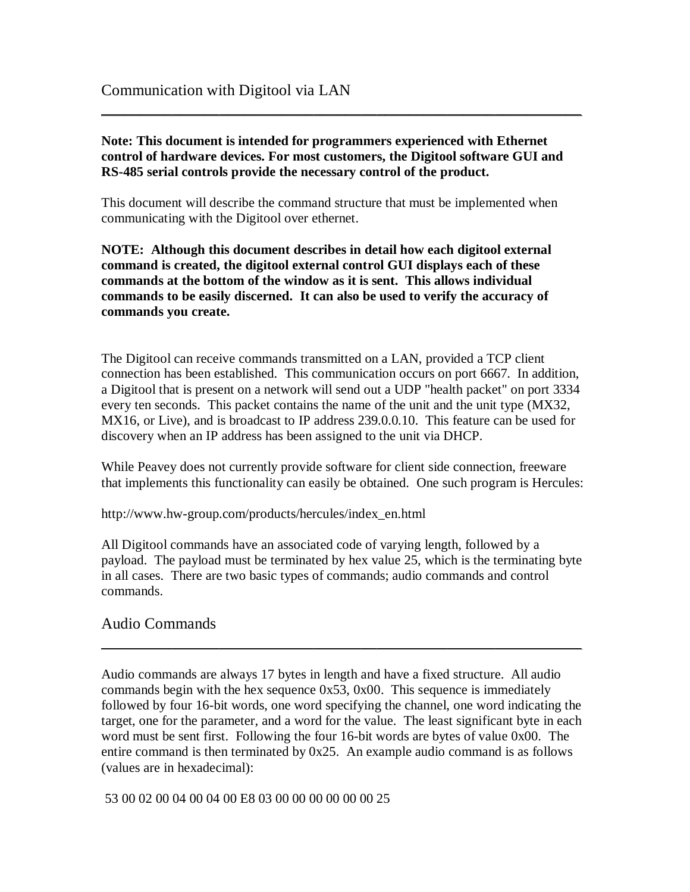**Note: This document is intended for programmers experienced with Ethernet control of hardware devices. For most customers, the Digitool software GUI and RS-485 serial controls provide the necessary control of the product.** 

 $\sim$  . The contribution of the contribution of the contribution of the contribution of the contribution of the contribution of the contribution of the contribution of the contribution of the contribution of the contributi

This document will describe the command structure that must be implemented when communicating with the Digitool over ethernet.

**NOTE: Although this document describes in detail how each digitool external command is created, the digitool external control GUI displays each of these commands at the bottom of the window as it is sent. This allows individual commands to be easily discerned. It can also be used to verify the accuracy of commands you create.** 

The Digitool can receive commands transmitted on a LAN, provided a TCP client connection has been established. This communication occurs on port 6667. In addition, a Digitool that is present on a network will send out a UDP "health packet" on port 3334 every ten seconds. This packet contains the name of the unit and the unit type (MX32, MX16, or Live), and is broadcast to IP address 239.0.0.10. This feature can be used for discovery when an IP address has been assigned to the unit via DHCP.

While Peavey does not currently provide software for client side connection, freeware that implements this functionality can easily be obtained. One such program is Hercules:

http://www.hw-group.com/products/hercules/index\_en.html

All Digitool commands have an associated code of varying length, followed by a payload. The payload must be terminated by hex value 25, which is the terminating byte in all cases. There are two basic types of commands; audio commands and control commands.

### Audio Commands

Audio commands are always 17 bytes in length and have a fixed structure. All audio commands begin with the hex sequence 0x53, 0x00. This sequence is immediately followed by four 16-bit words, one word specifying the channel, one word indicating the target, one for the parameter, and a word for the value. The least significant byte in each word must be sent first. Following the four 16-bit words are bytes of value 0x00. The entire command is then terminated by 0x25. An example audio command is as follows (values are in hexadecimal):

 $\sim$  . The contribution of the contribution of the contribution of the contribution of the contribution of the contribution of the contribution of the contribution of the contribution of the contribution of the contributi

53 00 02 00 04 00 04 00 E8 03 00 00 00 00 00 00 25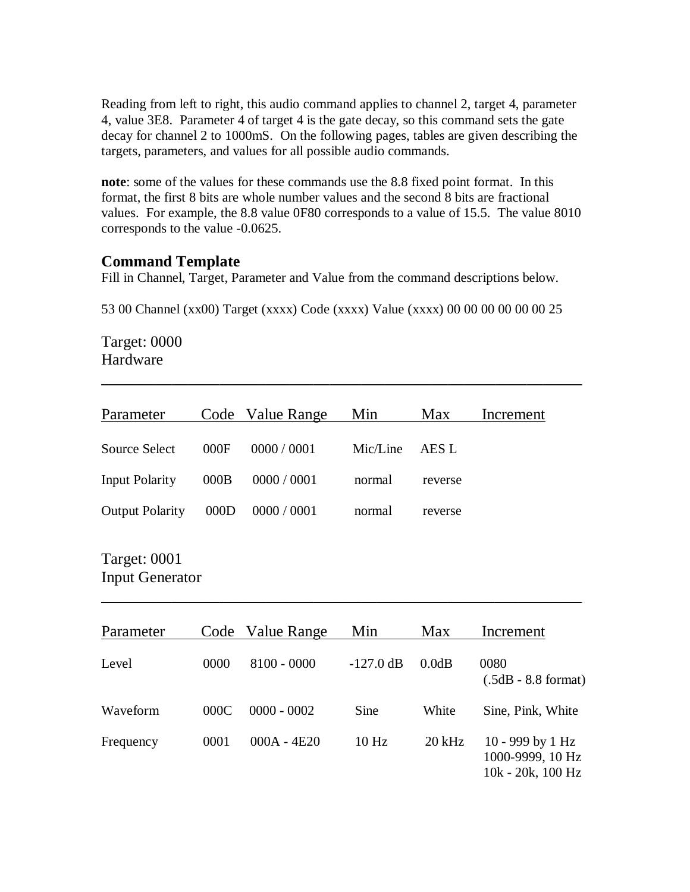Reading from left to right, this audio command applies to channel 2, target 4, parameter 4, value 3E8. Parameter 4 of target 4 is the gate decay, so this command sets the gate decay for channel 2 to 1000mS. On the following pages, tables are given describing the targets, parameters, and values for all possible audio commands.

**note**: some of the values for these commands use the 8.8 fixed point format. In this format, the first 8 bits are whole number values and the second 8 bits are fractional values. For example, the 8.8 value 0F80 corresponds to a value of 15.5. The value 8010 corresponds to the value -0.0625.

### **Command Template**

Fill in Channel, Target, Parameter and Value from the command descriptions below.

53 00 Channel (xx00) Target (xxxx) Code (xxxx) Value (xxxx) 00 00 00 00 00 00 25

Target: 0000 Hardware

| Parameter              |      | Code Value Range     | Min      | Max     | Increment |
|------------------------|------|----------------------|----------|---------|-----------|
| Source Select          | 000F | 0000 / 0001          | Mic/Line | AES L   |           |
| Input Polarity         | 000B | 0000 / 0001          | normal   | reverse |           |
| <b>Output Polarity</b> |      | $000D$ $0000 / 0001$ | normal   | reverse |           |
|                        |      |                      |          |         |           |

 $\sim$  . The contribution of the contribution of the contribution of the contribution of the contribution of the contribution of the contribution of the contribution of the contribution of the contribution of the contributi

## Target: 0001 Input Generator

| Parameter |      | Code Value Range | Min                 | Max      | Increment                                                      |
|-----------|------|------------------|---------------------|----------|----------------------------------------------------------------|
| Level     | 0000 | $8100 - 0000$    | $-127.0 \text{ dB}$ | 0.0dB    | 0080<br>$(.5dB - 8.8$ format)                                  |
| Waveform  | 000C | $0000 - 0002$    | Sine                | White    | Sine, Pink, White                                              |
| Frequency | 0001 | $000A - 4E20$    | 10 <sub>Hz</sub>    | $20$ kHz | 10 - 999 by 1 Hz<br>1000-9999, 10 Hz<br>$10k - 20k$ , $100 Hz$ |

 $\sim$  . The contribution of the contribution of the contribution of the contribution of the contribution of the contribution of the contribution of the contribution of the contribution of the contribution of the contributi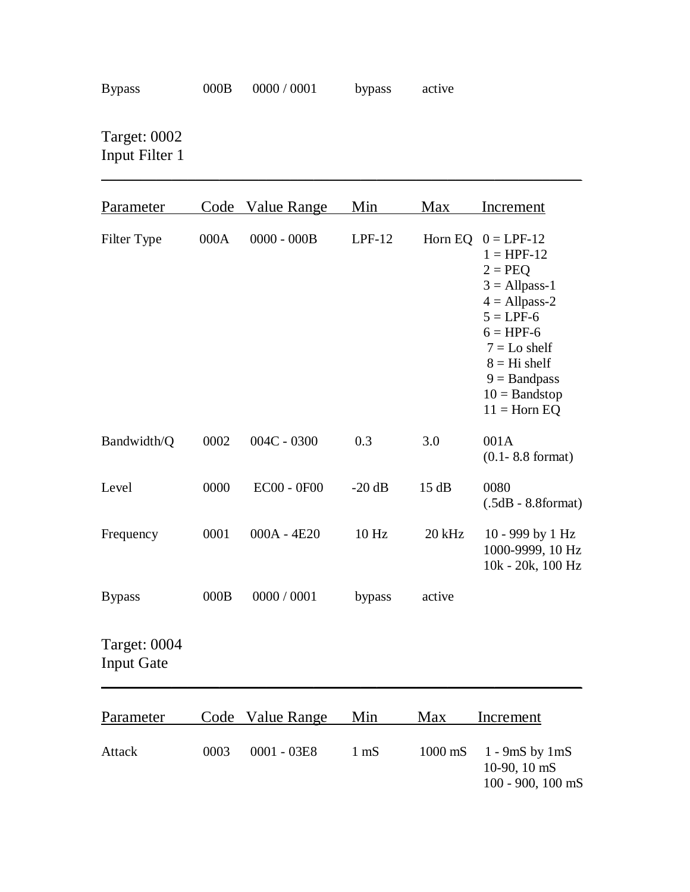\_\_\_\_\_\_\_\_\_\_\_\_\_\_\_\_\_\_\_\_\_\_\_\_\_\_\_\_\_\_\_\_\_\_\_\_\_\_\_\_\_\_\_\_\_\_\_\_\_\_\_\_\_\_\_\_\_\_\_\_\_

Target: 0002 Input Filter 1

| Parameter                         |      | Code Value Range   | Min            | Max     | Increment                                                                                                                                                                                                |
|-----------------------------------|------|--------------------|----------------|---------|----------------------------------------------------------------------------------------------------------------------------------------------------------------------------------------------------------|
| Filter Type                       | 000A | $0000 - 000B$      | $LPF-12$       | Horn EQ | $0 = LPF-12$<br>$1 = HPF-12$<br>$2 = PEO$<br>$3 =$ Allpass-1<br>$4 =$ Allpass-2<br>$5 = LPF-6$<br>$6 = HPF-6$<br>$7 = Lo$ shelf<br>$8 = Hi$ shelf<br>$9 =$ Bandpass<br>$10 =$ Bandstop<br>$11 =$ Horn EQ |
| Bandwidth/Q                       | 0002 | $004C - 0300$      | 0.3            | 3.0     | 001A<br>$(0.1 - 8.8 \text{ format})$                                                                                                                                                                     |
| Level                             | 0000 | <b>EC00 - 0F00</b> | $-20$ dB       | 15dB    | 0080<br>$(.5dB - 8.8format)$                                                                                                                                                                             |
| Frequency                         | 0001 | 000A - 4E20        | 10 Hz          | 20 kHz  | 10 - 999 by 1 Hz<br>1000-9999, 10 Hz<br>10k - 20k, 100 Hz                                                                                                                                                |
| <b>Bypass</b>                     | 000B | 0000 / 0001        | bypass         | active  |                                                                                                                                                                                                          |
| Target: 0004<br><b>Input Gate</b> |      |                    |                |         |                                                                                                                                                                                                          |
| Parameter                         |      | Code Value Range   | Min            | Max     | Increment                                                                                                                                                                                                |
| Attack                            | 0003 | 0001 - 03E8        | $1 \text{ mS}$ | 1000 mS | $1 - 9mS$ by $1mS$<br>10-90, 10 mS<br>100 - 900, 100 mS                                                                                                                                                  |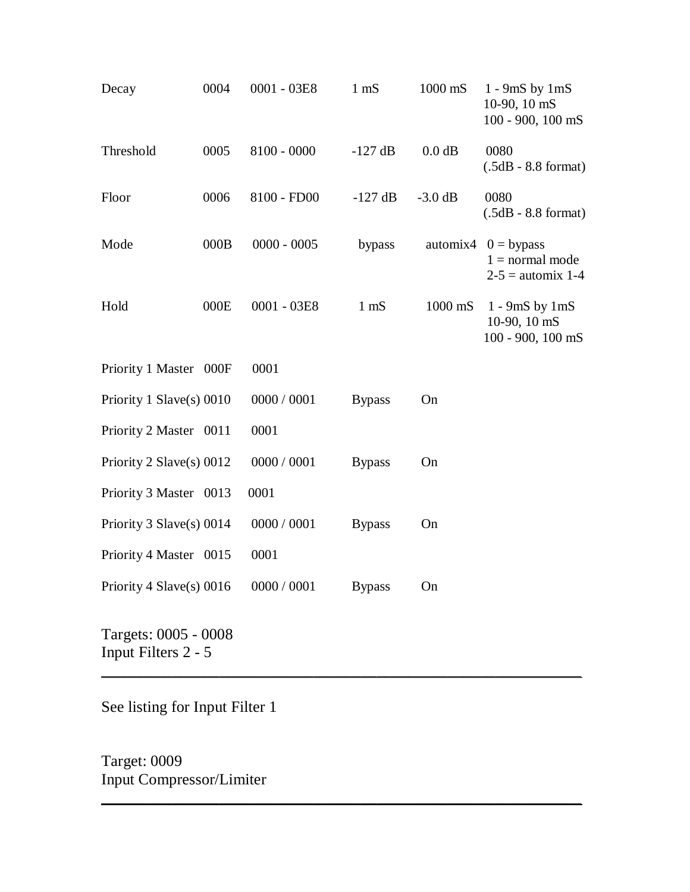| Decay                    | 0004 | $0001 - 03E8$   | $1 \text{ mS}$ | 1000 mS   | $1 - 9mS$ by $1mS$<br>10-90, 10 mS<br>100 - 900, 100 mS           |
|--------------------------|------|-----------------|----------------|-----------|-------------------------------------------------------------------|
| Threshold                | 0005 | $8100 - 0000$   | $-127$ dB      | $0.0$ dB  | 0080<br>$(.5dB - 8.8$ format)                                     |
| Floor                    | 0006 | 8100 - FD00     | $-127$ dB      | $-3.0$ dB | 0080<br>$(.5dB - 8.8$ format)                                     |
| Mode                     | 000B | $0000 - 0005$   | bypass         |           | automix4 $0 =$ bypass<br>$1 = normal mode$<br>$2-5$ = automix 1-4 |
| Hold                     | 000E | $0001 - 03E8$   | $1 \text{ mS}$ | $1000$ mS | $1 - 9mS$ by $1mS$<br>10-90, 10 mS<br>$100 - 900$ , $100$ mS      |
| Priority 1 Master 000F   |      | 0001            |                |           |                                                                   |
| Priority 1 Slave(s) 0010 |      | 0000 / 0001     | <b>Bypass</b>  | On        |                                                                   |
| Priority 2 Master 0011   |      | 0001            |                |           |                                                                   |
| Priority 2 Slave(s) 0012 |      | 0000 / 0001     | <b>Bypass</b>  | On        |                                                                   |
| Priority 3 Master 0013   |      | 0001            |                |           |                                                                   |
| Priority 3 Slave(s) 0014 |      | 0000 / 0001     | <b>Bypass</b>  | On        |                                                                   |
| Priority 4 Master 0015   |      | 0001            |                |           |                                                                   |
| Priority 4 Slave(s) 0016 |      | $0000\,/\,0001$ | <b>Bypass</b>  | On        |                                                                   |
| Targets: 0005 - 0008     |      |                 |                |           |                                                                   |

\_\_\_\_\_\_\_\_\_\_\_\_\_\_\_\_\_\_\_\_\_\_\_\_\_\_\_\_\_\_\_\_\_\_\_\_\_\_\_\_\_\_\_\_\_\_\_\_\_\_\_\_\_\_\_\_\_\_\_\_\_

 $\sim$  . The contribution of the contribution of the contribution of the contribution of the contribution of the contribution of the contribution of the contribution of the contribution of the contribution of the contributi

Input Filters 2 - 5

See listing for Input Filter 1

Target: 0009 Input Compressor/Limiter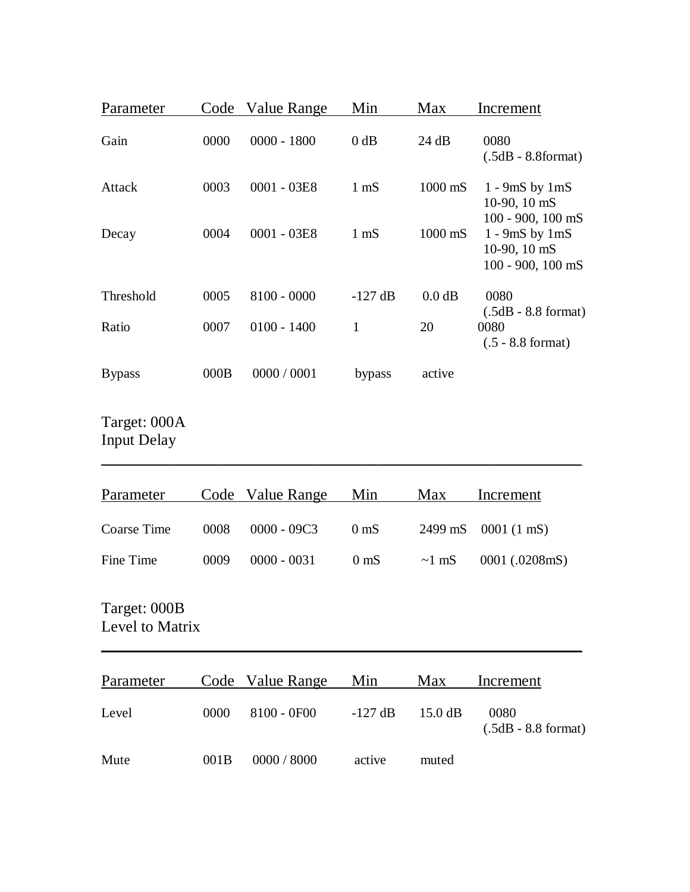| Parameter                          | Code | Value Range        | Min             | Max         | Increment                                                    |
|------------------------------------|------|--------------------|-----------------|-------------|--------------------------------------------------------------|
| Gain                               | 0000 | $0000 - 1800$      | $0$ dB          | 24 dB       | 0080<br>$(.5dB - 8.8format)$                                 |
| Attack                             | 0003 | $0001 - 03E8$      | $1 \text{ mS}$  | 1000 mS     | $1 - 9mS$ by $1mS$<br>10-90, 10 mS<br>100 - 900, 100 mS      |
| Decay                              | 0004 | $0001 - 03E8$      | $1 \text{ mS}$  | 1000 mS     | $1 - 9mS$ by $1mS$<br>10-90, 10 mS<br>$100 - 900$ , $100$ mS |
| Threshold                          | 0005 | $8100 - 0000$      | $-127$ dB       | 0.0 dB      | 0080                                                         |
| Ratio                              | 0007 | $0100 - 1400$      | $\mathbf{1}$    | 20          | $(.5dB - 8.8$ format)<br>0080<br>$(.5 - 8.8 \text{ format})$ |
| <b>Bypass</b>                      | 000B | 0000 / 0001        | bypass          | active      |                                                              |
| Target: 000A<br><b>Input Delay</b> |      |                    |                 |             |                                                              |
| Parameter                          | Code | <b>Value Range</b> | Min             | Max         | Increment                                                    |
| <b>Coarse Time</b>                 | 0008 | $0000 - 09C3$      | 0 <sub>ms</sub> | 2499 mS     | 0001 (1 mS)                                                  |
| Fine Time                          | 0009 | $0000 - 0031$      | 0 <sub>ms</sub> | $\sim$ 1 mS | 0001 (.0208mS)                                               |
| Target: 000B<br>Level to Matrix    |      |                    |                 |             |                                                              |
| Parameter                          |      | Code Value Range   | Min             | Max         | <b>Increment</b>                                             |
| Level                              | 0000 | 8100 - 0F00        | $-127$ dB       | 15.0 dB     | 0080<br>$(.5dB - 8.8$ format)                                |
| Mute                               | 001B | 0000 / 8000        | active          | muted       |                                                              |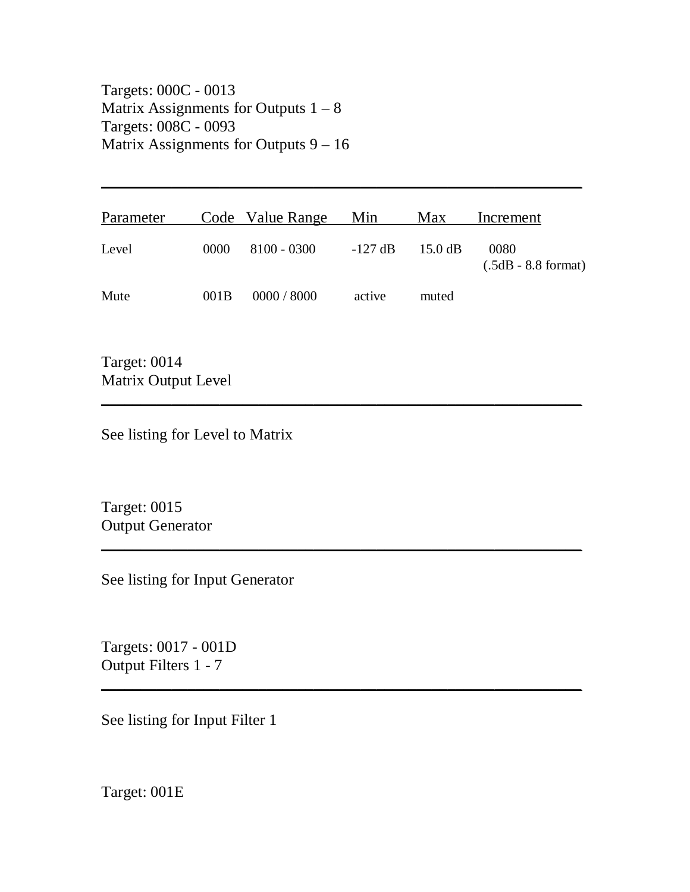Targets: 000C - 0013 Matrix Assignments for Outputs  $1 - 8$ Targets: 008C - 0093 Matrix Assignments for Outputs 9 – 16

| Parameter |      | Code Value Range Min |           | Max               | Increment                     |
|-----------|------|----------------------|-----------|-------------------|-------------------------------|
| Level     | 0000 | 8100 - 0300          | $-127$ dB | $15.0 \text{ dB}$ | 0080<br>$(.5dB - 8.8$ format) |
| Mute      | 001B | 0000 / 8000          | active    | muted             |                               |

 $\overline{\phantom{a}}$  , and the contract of the contract of the contract of the contract of the contract of the contract of the contract of the contract of the contract of the contract of the contract of the contract of the contrac

\_\_\_\_\_\_\_\_\_\_\_\_\_\_\_\_\_\_\_\_\_\_\_\_\_\_\_\_\_\_\_\_\_\_\_\_\_\_\_\_\_\_\_\_\_\_\_\_\_\_\_\_\_\_\_\_\_\_\_\_\_

 $\sim$  . The contribution of the contribution of the contribution of the contribution of the contribution of the contribution of the contribution of the contribution of the contribution of the contribution of the contributi

\_\_\_\_\_\_\_\_\_\_\_\_\_\_\_\_\_\_\_\_\_\_\_\_\_\_\_\_\_\_\_\_\_\_\_\_\_\_\_\_\_\_\_\_\_\_\_\_\_\_\_\_\_\_\_\_\_\_\_\_\_

Target: 0014 Matrix Output Level

See listing for Level to Matrix

Target: 0015 Output Generator

See listing for Input Generator

Targets: 0017 - 001D Output Filters 1 - 7

See listing for Input Filter 1

Target: 001E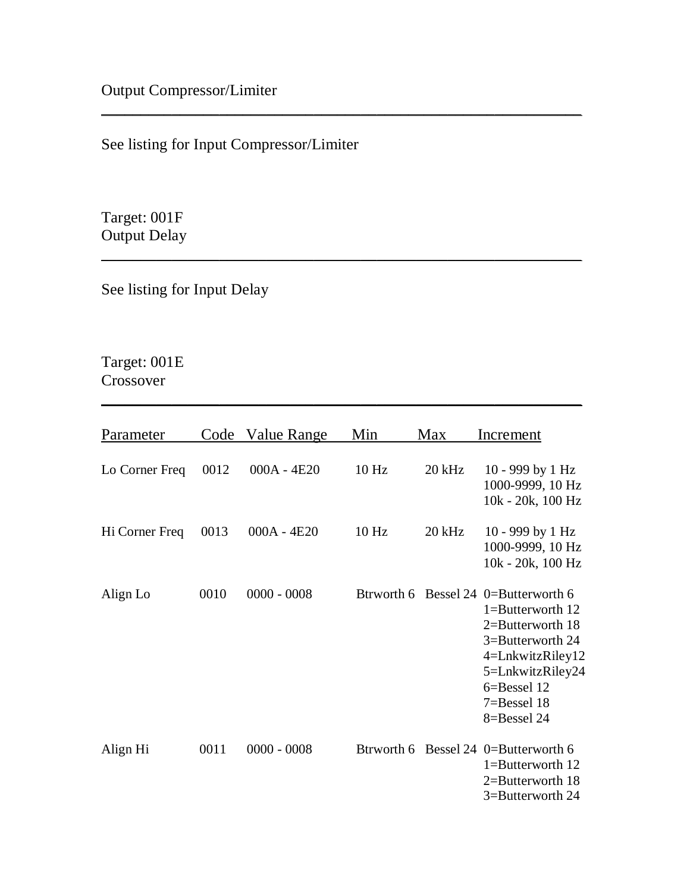See listing for Input Compressor/Limiter

Target: 001F Output Delay

See listing for Input Delay

# Target: 001E Crossover

| Parameter      |      | Code Value Range | Min              | Max      | Increment                                                                                                                                                                              |
|----------------|------|------------------|------------------|----------|----------------------------------------------------------------------------------------------------------------------------------------------------------------------------------------|
| Lo Corner Freq | 0012 | $000A - 4E20$    | 10 <sub>Hz</sub> | $20$ kHz | 10 - 999 by 1 Hz<br>1000-9999, 10 Hz<br>10k - 20k, 100 Hz                                                                                                                              |
| Hi Corner Freq | 0013 | $000A - 4E20$    | 10 <sub>Hz</sub> | $20$ kHz | 10 - 999 by 1 Hz<br>1000-9999, 10 Hz<br>10k - 20k, 100 Hz                                                                                                                              |
| Align Lo       | 0010 | $0000 - 0008$    | Btrworth 6       |          | Bessel 24 0=Butterworth 6<br>$1 =$ Butterworth 12<br>2=Butterworth 18<br>3=Butterworth 24<br>4=LnkwitzRiley12<br>5=LnkwitzRiley24<br>$6 =$ Bessel 12<br>$7 =$ Bessel 18<br>8=Bessel 24 |
| Align Hi       | 0011 | $0000 - 0008$    | Btrworth 6       |          | Bessel 24 0=Butterworth 6<br>$1 =$ Butterworth 12<br>2=Butterworth 18<br>3=Butterworth 24                                                                                              |

 $\sim$  . The contribution of the contribution of the contribution of the contribution of the contribution of the contribution of the contribution of the contribution of the contribution of the contribution of the contributi

\_\_\_\_\_\_\_\_\_\_\_\_\_\_\_\_\_\_\_\_\_\_\_\_\_\_\_\_\_\_\_\_\_\_\_\_\_\_\_\_\_\_\_\_\_\_\_\_\_\_\_\_\_\_\_\_\_\_\_\_\_

 $\overline{\phantom{a}}$  , and the contract of the contract of the contract of the contract of the contract of the contract of the contract of the contract of the contract of the contract of the contract of the contract of the contrac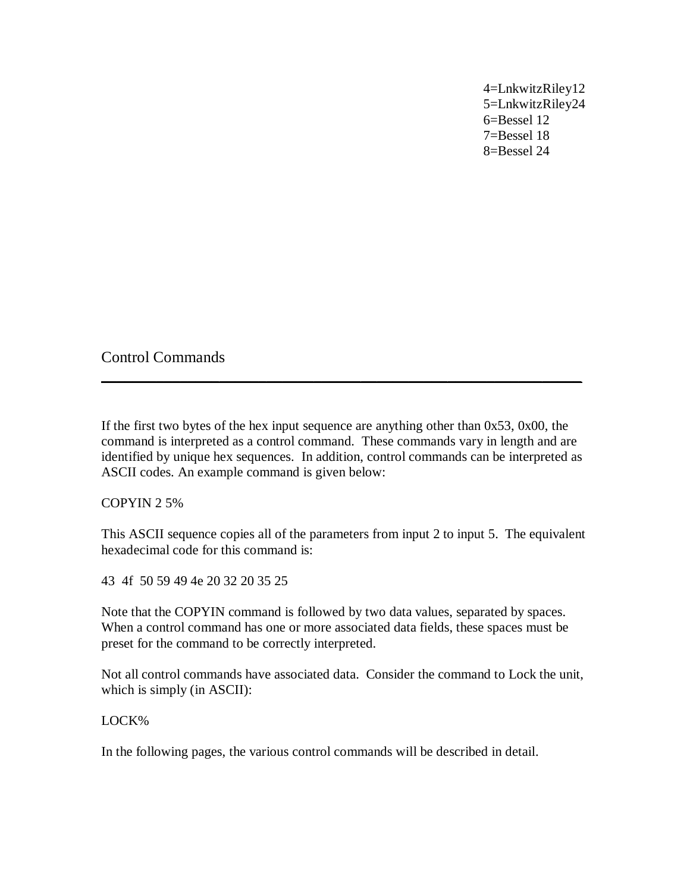4=LnkwitzRiley12 5=LnkwitzRiley24 6=Bessel 12 7=Bessel 18 8=Bessel 24

Control Commands

If the first two bytes of the hex input sequence are anything other than 0x53, 0x00, the command is interpreted as a control command. These commands vary in length and are identified by unique hex sequences. In addition, control commands can be interpreted as ASCII codes. An example command is given below:

\_\_\_\_\_\_\_\_\_\_\_\_\_\_\_\_\_\_\_\_\_\_\_\_\_\_\_\_\_\_\_\_\_\_\_\_\_\_\_\_\_\_\_\_\_\_\_\_\_\_\_\_\_\_\_\_\_\_\_\_\_

COPYIN 2 5%

This ASCII sequence copies all of the parameters from input 2 to input 5. The equivalent hexadecimal code for this command is:

43 4f 50 59 49 4e 20 32 20 35 25

Note that the COPYIN command is followed by two data values, separated by spaces. When a control command has one or more associated data fields, these spaces must be preset for the command to be correctly interpreted.

Not all control commands have associated data. Consider the command to Lock the unit, which is simply (in ASCII):

#### LOCK%

In the following pages, the various control commands will be described in detail.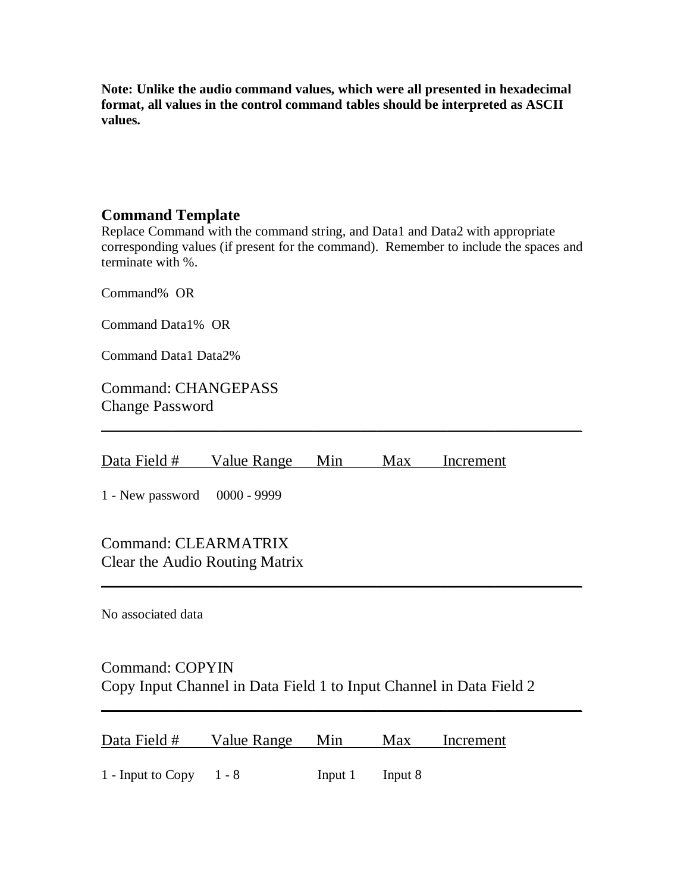**Note: Unlike the audio command values, which were all presented in hexadecimal format, all values in the control command tables should be interpreted as ASCII values.**

### **Command Template**

Replace Command with the command string, and Data1 and Data2 with appropriate corresponding values (if present for the command). Remember to include the spaces and terminate with %.

 $\sim$  . The contribution of the contribution of the contribution of the contribution of the contribution of the contribution of the contribution of the contribution of the contribution of the contribution of the contributi

 $\sim$  . The contribution of the contribution of the contribution of the contribution of the contribution of the contribution of the contribution of the contribution of the contribution of the contribution of the contributi

\_\_\_\_\_\_\_\_\_\_\_\_\_\_\_\_\_\_\_\_\_\_\_\_\_\_\_\_\_\_\_\_\_\_\_\_\_\_\_\_\_\_\_\_\_\_\_\_\_\_\_\_\_\_\_\_\_\_\_\_\_

Command% OR

Command Data1% OR

Command Data1 Data2%

Command: CHANGEPASS Change Password

Data Field # Value Range Min Max Increment

1 - New password 0000 - 9999

Command: CLEARMATRIX Clear the Audio Routing Matrix

No associated data

## Command: COPYIN Copy Input Channel in Data Field 1 to Input Channel in Data Field 2

| Data Field # | Value Range | Min | Max | Increment |
|--------------|-------------|-----|-----|-----------|
|              |             |     |     |           |

1 - Input to Copy 1 - 8 Input 1 Input 8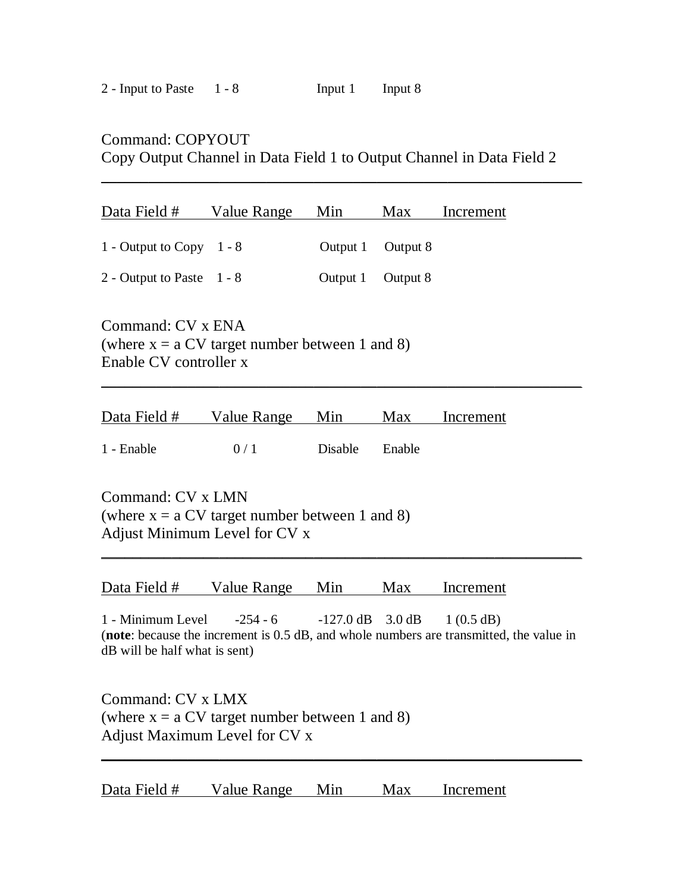### Command: COPYOUT

Copy Output Channel in Data Field 1 to Output Channel in Data Field 2

 $\sim$  . The contribution of the contribution of the contribution of the contribution of the contribution of the contribution

| Data Field #                                                                                    | Value Range | Min      | <b>Max</b> | Increment |  |  |  |
|-------------------------------------------------------------------------------------------------|-------------|----------|------------|-----------|--|--|--|
| 1 - Output to Copy $1 - 8$                                                                      |             | Output 1 | Output 8   |           |  |  |  |
| 2 - Output to Paste $1 - 8$                                                                     |             | Output 1 | Output 8   |           |  |  |  |
| Command: CV x ENA<br>(where $x = a CV$ target number between 1 and 8)<br>Enable CV controller x |             |          |            |           |  |  |  |
| Data Field #                                                                                    | Value Range | Min      | Max        | Increment |  |  |  |

1 - Enable 0 / 1 Disable Enable

Command: CV x LMN (where  $x = a CV$  target number between 1 and 8) Adjust Minimum Level for CV x

Data Field # Value Range Min Max Increment

1 - Minimum Level -254 - 6 -127.0 dB 3.0 dB 1 (0.5 dB) (**note**: because the increment is 0.5 dB, and whole numbers are transmitted, the value in dB will be half what is sent)

 $\sim$  . The contribution of the contribution of the contribution of the contribution of the contribution of the contribution of the contribution of the contribution of the contribution of the contribution of the contributi

 $\sim$  . The contribution of the contribution of the contribution of the contribution of the contribution of the contribution of the contribution of the contribution of the contribution of the contribution of the contributi

Command: CV x LMX (where  $x = a CV$  target number between 1 and 8) Adjust Maximum Level for CV x

Data Field # Value Range Min Max Increment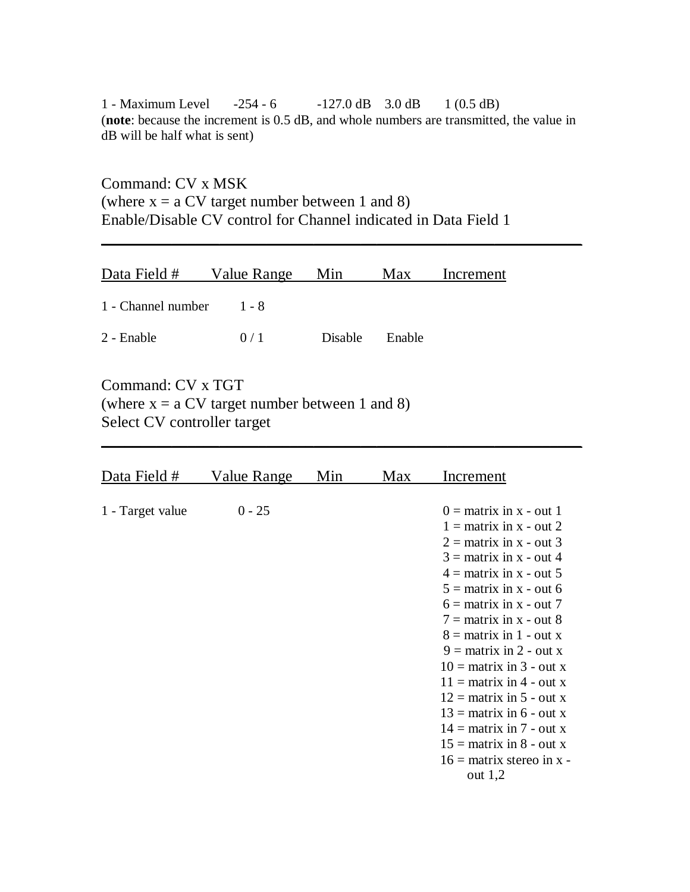1 - Maximum Level -254 - 6 -127.0 dB 3.0 dB 1 (0.5 dB) (**note**: because the increment is 0.5 dB, and whole numbers are transmitted, the value in dB will be half what is sent)

\_\_\_\_\_\_\_\_\_\_\_\_\_\_\_\_\_\_\_\_\_\_\_\_\_\_\_\_\_\_\_\_\_\_\_\_\_\_\_\_\_\_\_\_\_\_\_\_\_\_\_\_\_\_\_\_\_\_\_\_\_

 $\sim$  . The contribution of the contribution of the contribution of the contribution of the contribution of the contribution of the contribution of the contribution of the contribution of the contribution of the contributi

Command: CV x MSK (where  $x = a CV$  target number between 1 and 8) Enable/Disable CV control for Channel indicated in Data Field 1

| Data Field # Value Range Min |     |                | Max | Increment |
|------------------------------|-----|----------------|-----|-----------|
| 1 - Channel number $1 - 8$   |     |                |     |           |
| 2 - Enable                   | 0/1 | Disable Enable |     |           |

Command: CV x TGT (where  $x = a CV$  target number between 1 and 8) Select CV controller target

| Data Field #     | Value Range | Min | Max | Increment                                                                                                                                                                                                                                                                                                                                                                                                                                                                                                                      |
|------------------|-------------|-----|-----|--------------------------------------------------------------------------------------------------------------------------------------------------------------------------------------------------------------------------------------------------------------------------------------------------------------------------------------------------------------------------------------------------------------------------------------------------------------------------------------------------------------------------------|
| 1 - Target value | $0 - 25$    |     |     | $0 =$ matrix in x - out 1<br>$1 =$ matrix in x - out 2<br>$2 =$ matrix in x - out 3<br>$3 =$ matrix in x - out 4<br>$4 =$ matrix in x - out 5<br>$5 =$ matrix in x - out 6<br>$6 =$ matrix in x - out 7<br>$7 =$ matrix in x - out 8<br>$8 =$ matrix in 1 - out x<br>$9 =$ matrix in 2 - out x<br>$10 =$ matrix in 3 - out x<br>$11 =$ matrix in 4 - out x<br>$12 =$ matrix in 5 - out x<br>$13 =$ matrix in 6 - out x<br>$14 =$ matrix in 7 - out x<br>$15 =$ matrix in 8 - out x<br>$16 =$ matrix stereo in x -<br>out $1,2$ |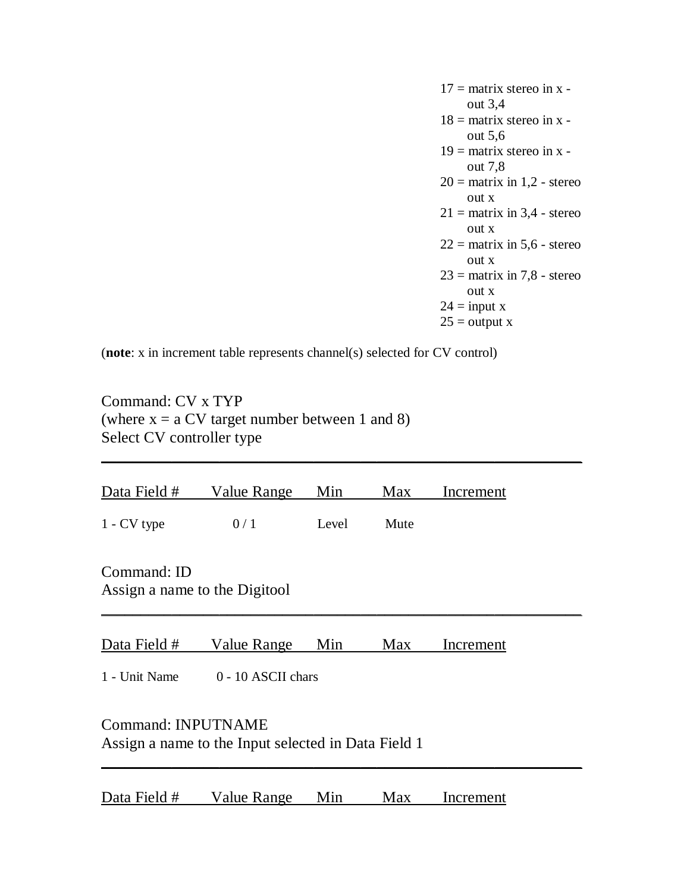$17 =$  matrix stereo in x out 3,4  $18 =$  matrix stereo in x out 5,6  $19$  = matrix stereo in x out 7,8  $20 =$  matrix in 1,2 - stereo out x  $21 =$  matrix in 3,4 - stereo out x  $22 =$  matrix in 5,6 - stereo out x  $23 =$  matrix in 7,8 - stereo out x  $24 = input x$  $25 =$  output x

(**note**: x in increment table represents channel(s) selected for CV control)

Command: CV x TYP (where  $x = a CV$  target number between 1 and 8) Select CV controller type

| Data Field #                                                                                                            | Value Range        | Min   | Max  | Increment |  |  |  |
|-------------------------------------------------------------------------------------------------------------------------|--------------------|-------|------|-----------|--|--|--|
| $1 - CV$ type                                                                                                           | 0/1                | Level | Mute |           |  |  |  |
| Command: ID<br>Assign a name to the Digitool                                                                            |                    |       |      |           |  |  |  |
| Data Field #                                                                                                            | <b>Value Range</b> | Min   | Max  | Increment |  |  |  |
| 0 - 10 ASCII chars<br>1 - Unit Name<br><b>Command: INPUTNAME</b><br>Assign a name to the Input selected in Data Field 1 |                    |       |      |           |  |  |  |
| Data Field #                                                                                                            | Value Range        | Min   | Max  | Increment |  |  |  |

 $\overline{\phantom{a}}$  , and the contract of the contract of the contract of the contract of the contract of the contract of the contract of the contract of the contract of the contract of the contract of the contract of the contrac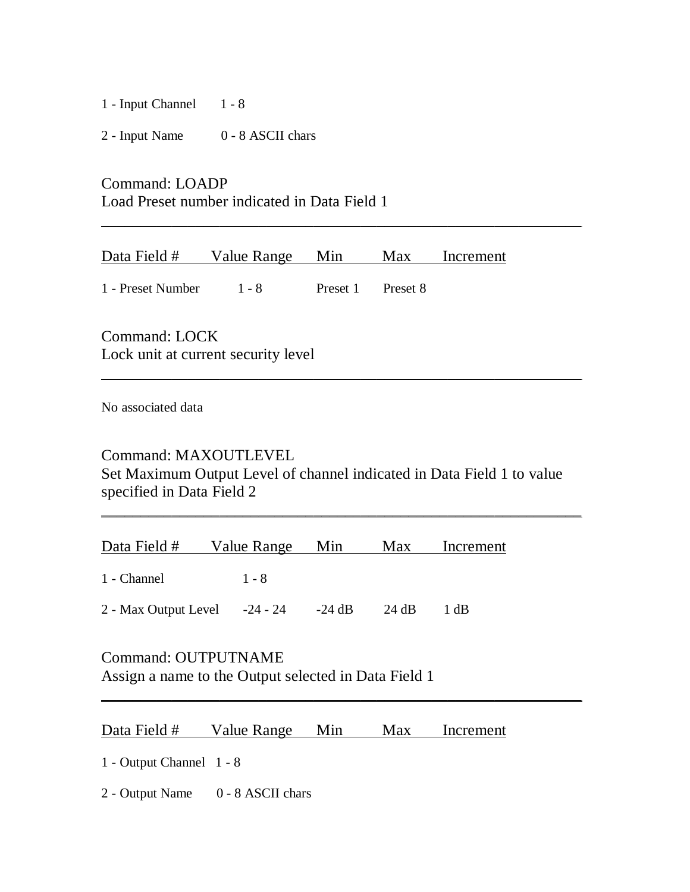1 - Input Channel 1 - 8

2 - Input Name 0 - 8 ASCII chars

Command: LOADP Load Preset number indicated in Data Field 1

| Data Field #      | Value Range Min |                   | Max Increment |
|-------------------|-----------------|-------------------|---------------|
| 1 - Preset Number | $1 - 8$         | Preset 1 Preset 8 |               |

\_\_\_\_\_\_\_\_\_\_\_\_\_\_\_\_\_\_\_\_\_\_\_\_\_\_\_\_\_\_\_\_\_\_\_\_\_\_\_\_\_\_\_\_\_\_\_\_\_\_\_\_\_\_\_\_\_\_\_\_\_

Command: LOCK Lock unit at current security level

No associated data

Command: MAXOUTLEVEL

Set Maximum Output Level of channel indicated in Data Field 1 to value specified in Data Field 2

\_\_\_\_\_\_\_\_\_\_\_\_\_\_\_\_\_\_\_\_\_\_\_\_\_\_\_\_\_\_\_\_\_\_\_\_\_\_\_\_\_\_\_\_\_\_\_\_\_\_\_\_\_\_\_\_\_\_\_\_\_

 $\sim$  . The contribution of the contribution of the contribution of the contribution of the contribution of the contribution of the contribution of the contribution of the contribution of the contribution of the contributi

 $\sim$  . The contribution of the contribution of the contribution of the contribution of the contribution of the contribution of the contribution of the contribution of the contribution of the contribution of the contributi

| Data Field #                                 | Value Range Min | Max   | Increment |
|----------------------------------------------|-----------------|-------|-----------|
| 1 - Channel                                  | $1 - 8$         |       |           |
| 2 - Max Output Level - $-24 - 24$ - $-24$ dB |                 | 24 dB | -1 dB     |

# Command: OUTPUTNAME

Assign a name to the Output selected in Data Field 1

| Data Field # | Value Range | Min | Max | Increment |
|--------------|-------------|-----|-----|-----------|
|              |             |     |     |           |

1 - Output Channel 1 - 8

2 - Output Name 0 - 8 ASCII chars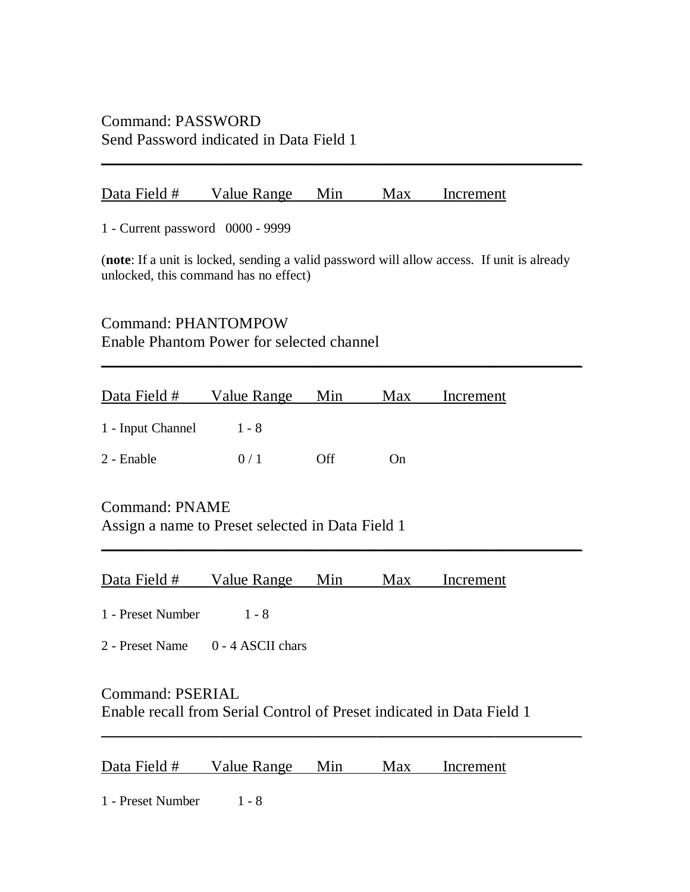## Command: PASSWORD Send Password indicated in Data Field 1

### Data Field # Value Range Min Max Increment

1 - Current password 0000 - 9999

(**note**: If a unit is locked, sending a valid password will allow access. If unit is already unlocked, this command has no effect)

 $\sim$  . The contribution of the contribution of the contribution of the contribution of the contribution of the contribution of the contribution of the contribution of the contribution of the contribution of the contributi

\_\_\_\_\_\_\_\_\_\_\_\_\_\_\_\_\_\_\_\_\_\_\_\_\_\_\_\_\_\_\_\_\_\_\_\_\_\_\_\_\_\_\_\_\_\_\_\_\_\_\_\_\_\_\_\_\_\_\_\_\_

\_\_\_\_\_\_\_\_\_\_\_\_\_\_\_\_\_\_\_\_\_\_\_\_\_\_\_\_\_\_\_\_\_\_\_\_\_\_\_\_\_\_\_\_\_\_\_\_\_\_\_\_\_\_\_\_\_\_\_\_\_

Command: PHANTOMPOW Enable Phantom Power for selected channel

| Data Field # Value Range |         | Min  | Max | Increment |
|--------------------------|---------|------|-----|-----------|
| 1 - Input Channel        | $1 - 8$ |      |     |           |
| 2 - Enable               | 0/1     | Off. | On  |           |

Command: PNAME Assign a name to Preset selected in Data Field 1

|  | Data Field # | Value Range | Min | Max | Increment |
|--|--------------|-------------|-----|-----|-----------|
|--|--------------|-------------|-----|-----|-----------|

1 - Preset Number 1 - 8

2 - Preset Name 0 - 4 ASCII chars

## Command: PSERIAL Enable recall from Serial Control of Preset indicated in Data Field 1

 $\sim$  . The contribution of the contribution of the contribution of the contribution of the contribution of the contribution of the contribution of the contribution of the contribution of the contribution of the contributi

Data Field # Value Range Min Max Increment

1 - Preset Number 1 - 8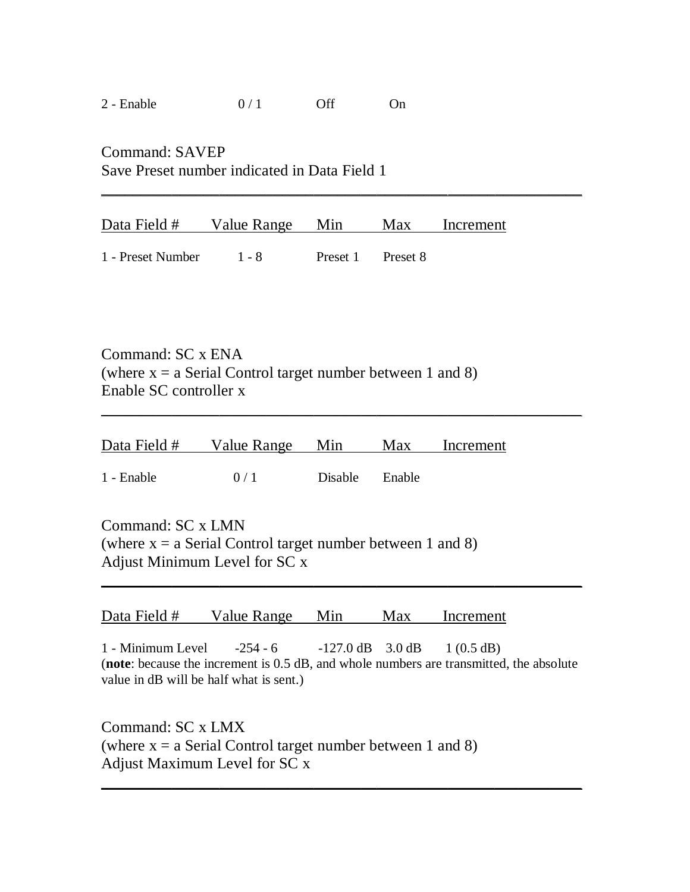|  | 2 - Enable | 0/1 | Off | On |
|--|------------|-----|-----|----|
|--|------------|-----|-----|----|

Command: SAVEP Save Preset number indicated in Data Field 1

| Data Field # Value Range Min |         |                   | Max Increment |
|------------------------------|---------|-------------------|---------------|
|                              |         |                   |               |
| 1 - Preset Number            | $1 - 8$ | Preset 1 Preset 8 |               |

 $\sim$  . The contribution of the contribution of the contribution of the contribution of the contribution of the contribution of the contribution of the contribution of the contribution of the contribution of the contributi

Command: SC x ENA (where  $x = a$  Serial Control target number between 1 and 8) Enable SC controller x

|            | Data Field # Value Range Min |                | Max Increment |  |
|------------|------------------------------|----------------|---------------|--|
| 1 - Enable | 0/1                          | Disable Enable |               |  |

\_\_\_\_\_\_\_\_\_\_\_\_\_\_\_\_\_\_\_\_\_\_\_\_\_\_\_\_\_\_\_\_\_\_\_\_\_\_\_\_\_\_\_\_\_\_\_\_\_\_\_\_\_\_\_\_\_\_\_\_\_

Command: SC x LMN (where  $x = a$  Serial Control target number between 1 and 8) Adjust Minimum Level for SC x

| Data Field # | Value Range | Min | Max | Increment |
|--------------|-------------|-----|-----|-----------|
|              |             |     |     |           |

1 - Minimum Level -254 - 6 -127.0 dB 3.0 dB 1 (0.5 dB) (**note**: because the increment is 0.5 dB, and whole numbers are transmitted, the absolute value in dB will be half what is sent.)

 $\overline{\phantom{a}}$  , and the contract of the contract of the contract of the contract of the contract of the contract of the contract of the contract of the contract of the contract of the contract of the contract of the contrac

 $\sim$  . The contribution of the contribution of the contribution of the contribution of the contribution of the contribution of the contribution of the contribution of the contribution of the contribution of the contributi

Command: SC x LMX (where  $x = a$  Serial Control target number between 1 and 8) Adjust Maximum Level for SC x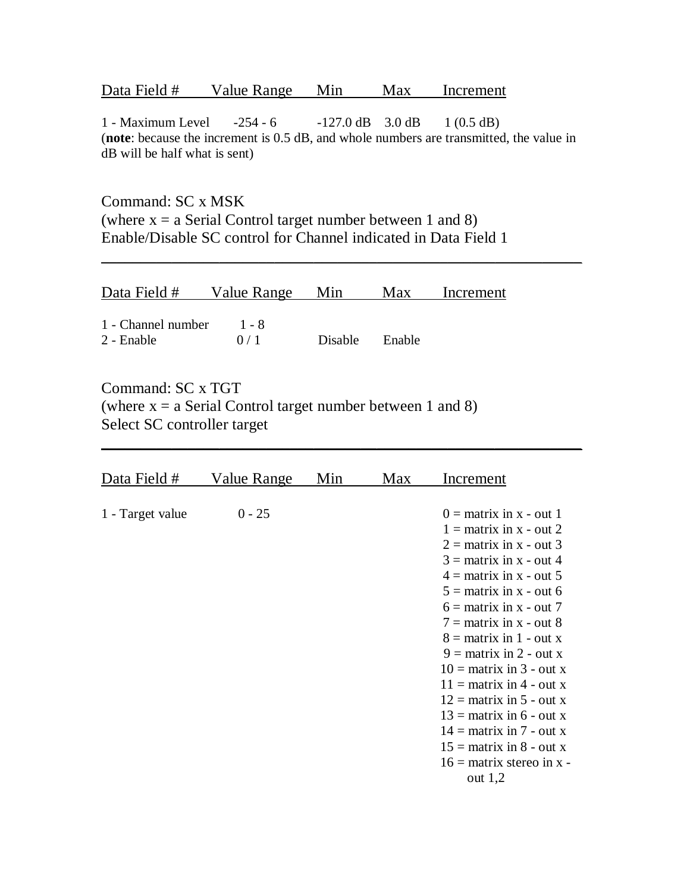| Data Field # | Value Range | Min | Max | Increment |
|--------------|-------------|-----|-----|-----------|
|              |             |     |     |           |

1 - Maximum Level -254 - 6 -127.0 dB 3.0 dB 1 (0.5 dB) (**note**: because the increment is 0.5 dB, and whole numbers are transmitted, the value in dB will be half what is sent)

\_\_\_\_\_\_\_\_\_\_\_\_\_\_\_\_\_\_\_\_\_\_\_\_\_\_\_\_\_\_\_\_\_\_\_\_\_\_\_\_\_\_\_\_\_\_\_\_\_\_\_\_\_\_\_\_\_\_\_\_\_

 $\sim$  . The contribution of the contribution of the contribution of the contribution of the contribution of the contribution of the contribution of the contribution of the contribution of the contribution of the contributi

Command: SC x MSK (where  $x = a$  Serial Control target number between 1 and 8) Enable/Disable SC control for Channel indicated in Data Field 1

| Data Field #                             | Value Range Min |                | Max | Increment |
|------------------------------------------|-----------------|----------------|-----|-----------|
| 1 - Channel number $1 - 8$<br>2 - Enable | 0/1             | Disable Enable |     |           |

Command: SC x TGT (where  $x = a$  Serial Control target number between 1 and 8) Select SC controller target

| Data Field #     | Value Range | Min | Max | Increment                                                                                                                                                                                                                                                                                                                                                                                                                                                                                                                      |
|------------------|-------------|-----|-----|--------------------------------------------------------------------------------------------------------------------------------------------------------------------------------------------------------------------------------------------------------------------------------------------------------------------------------------------------------------------------------------------------------------------------------------------------------------------------------------------------------------------------------|
| 1 - Target value | $0 - 25$    |     |     | $0 =$ matrix in x - out 1<br>$1 =$ matrix in x - out 2<br>$2 =$ matrix in x - out 3<br>$3 =$ matrix in x - out 4<br>$4 =$ matrix in x - out 5<br>$5 =$ matrix in x - out 6<br>$6 =$ matrix in x - out 7<br>$7 =$ matrix in x - out 8<br>$8 =$ matrix in 1 - out x<br>$9 =$ matrix in 2 - out x<br>$10 =$ matrix in 3 - out x<br>$11 =$ matrix in 4 - out x<br>$12 =$ matrix in 5 - out x<br>$13 =$ matrix in 6 - out x<br>$14 =$ matrix in 7 - out x<br>$15 =$ matrix in 8 - out x<br>$16 =$ matrix stereo in x -<br>out $1,2$ |
|                  |             |     |     |                                                                                                                                                                                                                                                                                                                                                                                                                                                                                                                                |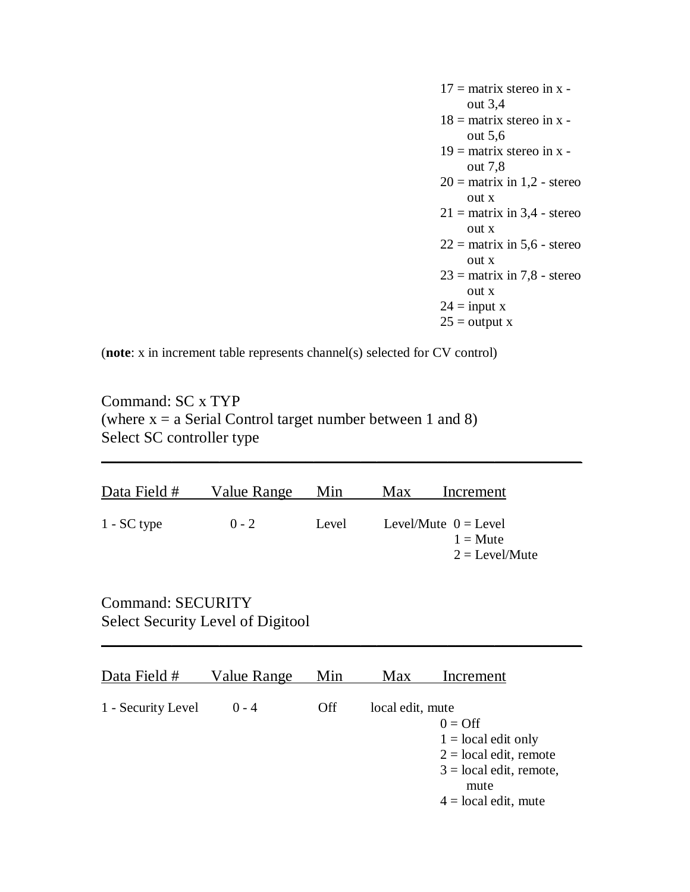$17 =$  matrix stereo in x out 3,4  $18$  = matrix stereo in x out 5,6  $19$  = matrix stereo in x out 7,8  $20 =$  matrix in 1,2 - stereo out x  $21 =$  matrix in 3,4 - stereo out x  $22 =$  matrix in 5,6 - stereo out x  $23 =$  matrix in 7,8 - stereo out x  $24 = input x$  $25 =$  output x

(**note**: x in increment table represents channel(s) selected for CV control)

Command: SC x TYP (where  $x = a$  Serial Control target number between 1 and 8) Select SC controller type

| Data Field #  | Value Range | Min   | <b>Max</b> | Increment                                                             |
|---------------|-------------|-------|------------|-----------------------------------------------------------------------|
| $1 - SC$ type | $0 - 2$     | Level |            | Level/Mute $0 =$ Level<br>$1 \equiv M$ ute<br>$2 = \text{Level/Mute}$ |

 $\overline{\phantom{a}}$  , and the contract of the contract of the contract of the contract of the contract of the contract of the contract of the contract of the contract of the contract of the contract of the contract of the contrac

Command: SECURITY Select Security Level of Digitool

| Data Field #       | Value Range | Min        | Max              | Increment                                                                                                                             |
|--------------------|-------------|------------|------------------|---------------------------------------------------------------------------------------------------------------------------------------|
| 1 - Security Level | $0 - 4$     | <b>Off</b> | local edit, mute | $0 = \text{Off}$<br>$1 =$ local edit only<br>$2 = local$ edit, remote<br>$3 = local edit$ , remote,<br>mute<br>$4 =$ local edit, mute |

 $\sim$  . The contribution of the contribution of the contribution of the contribution of the contribution of the contribution of the contribution of the contribution of the contribution of the contribution of the contributi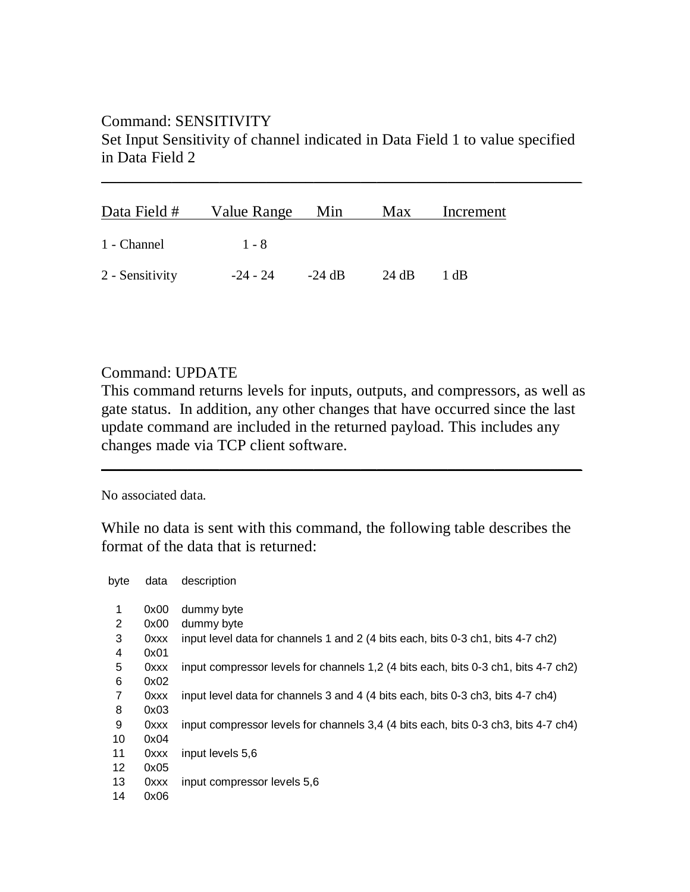# Command: SENSITIVITY Set Input Sensitivity of channel indicated in Data Field 1 to value specified in Data Field 2

 $\sim$  . The contribution of the contribution of the contribution of the contribution of the contribution of the contribution of the contribution of the contribution of the contribution of the contribution of the contributi

| Data Field #    | Value Range Min |          | Max   | Increment |
|-----------------|-----------------|----------|-------|-----------|
| 1 - Channel     | $1 - 8$         |          |       |           |
| 2 - Sensitivity | -24 - 24        | $-24$ dB | 24 dB | 1 dB      |

## Command: UPDATE

This command returns levels for inputs, outputs, and compressors, as well as gate status. In addition, any other changes that have occurred since the last update command are included in the returned payload. This includes any changes made via TCP client software.

 $\sim$  . The contribution of the contribution of the contribution of the contribution of the contribution of the contribution of the contribution of the contribution of the contribution of the contribution of the contributi

### No associated data.

While no data is sent with this command, the following table describes the format of the data that is returned:

| byte | data | description                                                                        |
|------|------|------------------------------------------------------------------------------------|
| 1    | 0x00 | dummy byte                                                                         |
| 2    | 0x00 | dummy byte                                                                         |
| 3    | 0xxx | input level data for channels 1 and 2 (4 bits each, bits 0-3 ch1, bits 4-7 ch2)    |
| 4    | 0x01 |                                                                                    |
| 5    | 0xxx | input compressor levels for channels 1,2 (4 bits each, bits 0-3 ch1, bits 4-7 ch2) |
| 6    | 0x02 |                                                                                    |
| 7    | 0xxx | input level data for channels 3 and 4 (4 bits each, bits 0-3 ch3, bits 4-7 ch4)    |
| 8    | 0x03 |                                                                                    |
| 9    | 0xxx | input compressor levels for channels 3,4 (4 bits each, bits 0-3 ch3, bits 4-7 ch4) |
| 10   | 0x04 |                                                                                    |
| 11   | 0xxx | input levels 5,6                                                                   |
| 12   | 0x05 |                                                                                    |
| 13   | 0xxx | input compressor levels 5,6                                                        |
| 14   | 0x06 |                                                                                    |
|      |      |                                                                                    |